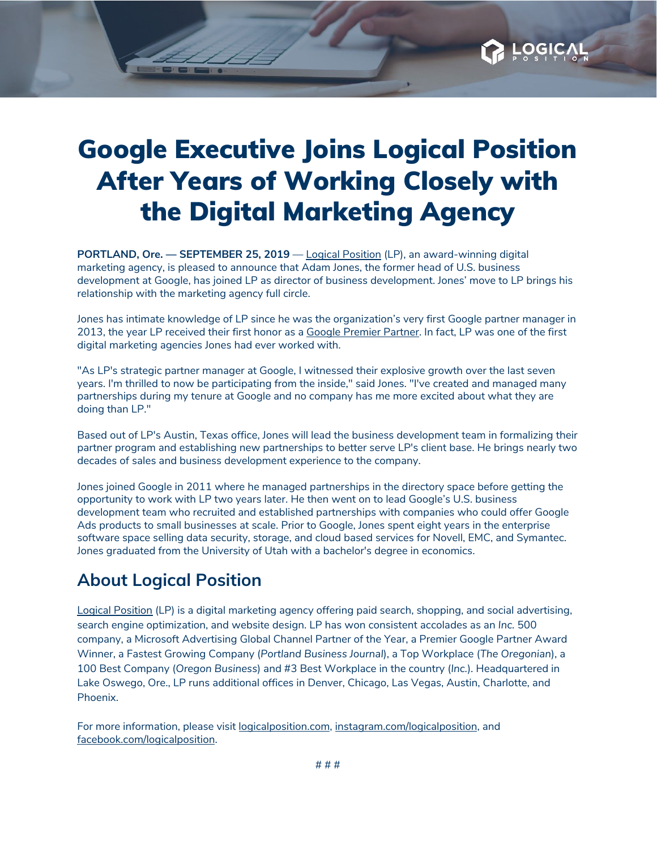## Google Executive Joins Logical Position After Years of Working Closely with the Digital Marketing Agency

**LOGIC** 

**PORTLAND, Ore. — SEPTEMBER 25, 2019** — Logical [Position](https://www.logicalposition.com/) (LP), an award-winning digital marketing agency, is pleased to announce that Adam Jones, the former head of U.S. business development at Google, has joined LP as director of business development. Jones' move to LP brings his relationship with the marketing agency full circle.

Jones has intimate knowledge of LP since he was the organization's very first Google partner manager in 2013, the year LP received their first honor as a Google [Premier](https://www.logicalposition.com/adwords-premier-partner) Partner. In fact, LP was one of the first digital marketing agencies Jones had ever worked with.

"As LP's strategic partner manager at Google, I witnessed their explosive growth over the last seven years. I'm thrilled to now be participating from the inside," said Jones. "I've created and managed many partnerships during my tenure at Google and no company has me more excited about what they are doing than LP."

Based out of LP's Austin, Texas office, Jones will lead the business development team in formalizing their partner program and establishing new partnerships to better serve LP's client base. He brings nearly two decades of sales and business development experience to the company.

Jones joined Google in 2011 where he managed partnerships in the directory space before getting the opportunity to work with LP two years later. He then went on to lead Google's U.S. business development team who recruited and established partnerships with companies who could offer Google Ads products to small businesses at scale. Prior to Google, Jones spent eight years in the enterprise software space selling data security, storage, and cloud based services for Novell, EMC, and Symantec. Jones graduated from the University of Utah with a bachelor's degree in economics.

## **About Logical Position**

Logical [Position](https://linkprotect.cudasvc.com/url?a=http%3a%2f%2fwww.logicalposition.com%2f&c=E,1,AHZprBI4OkjLV4oKc2fn6RUwtGRk4ROEn5K3kL-dS839v3pwGbD8hEvh36bwDhyTfwzYIVBZxF7z7Z3Fvv472nTWflK1jeY4uBMiyeJ_0_REuAnowvo_FGWg&typo=1) (LP) is a digital marketing agency offering paid search, shopping, and social advertising, search engine optimization, and website design. LP has won consistent accolades as an *Inc.* 500 company, a Microsoft Advertising Global Channel Partner of the Year, a Premier Google Partner Award Winner, a Fastest Growing Company (*Portland Business Journal*), a Top Workplace (*The Oregonian*), a 100 Best Company (*Oregon Business*) and #3 Best Workplace in the country (*Inc.*). Headquartered in Lake Oswego, Ore., LP runs additional offices in Denver, Chicago, Las Vegas, Austin, Charlotte, and Phoenix.

For more information, please visit [logicalposition.com,](http://www.logicalposition.com/) [instagram.com/logicalposition,](https://www.instagram.com/logicalposition) and [facebook.com/logicalposition](https://www.facebook.com/LogicalPosition).